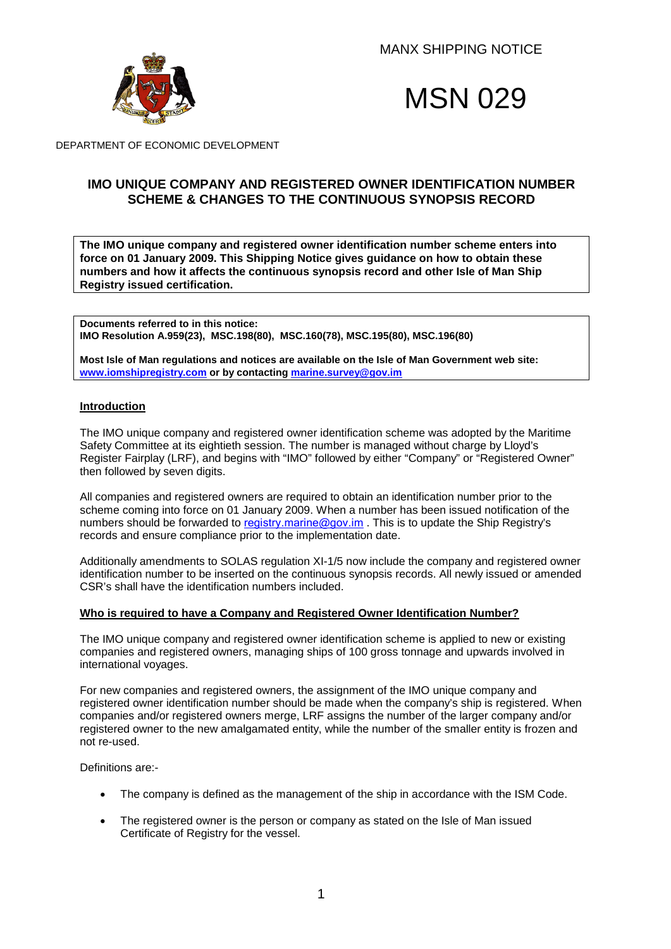MANX SHIPPING NOTICE





DEPARTMENT OF ECONOMIC DEVELOPMENT

# **IMO UNIQUE COMPANY AND REGISTERED OWNER IDENTIFICATION NUMBER SCHEME & CHANGES TO THE CONTINUOUS SYNOPSIS RECORD**

**The IMO unique company and registered owner identification number scheme enters into force on 01 January 2009. This Shipping Notice gives guidance on how to obtain these numbers and how it affects the continuous synopsis record and other Isle of Man Ship Registry issued certification.**

**Documents referred to in this notice: IMO Resolution A.959(23), MSC.198(80), MSC.160(78), MSC.195(80), MSC.196(80)**

**Most Isle of Man regulations and notices are available on the Isle of Man Government web site: [www.iomshipregistry.com](http://www.iomshipregistry.com/) or by contacting marine.survey@gov.im**

### **Introduction**

The IMO unique company and registered owner identification scheme was adopted by the Maritime Safety Committee at its eightieth session. The number is managed without charge by Lloyd's Register Fairplay (LRF), and begins with "IMO" followed by either "Company" or "Registered Owner" then followed by seven digits.

All companies and registered owners are required to obtain an identification number prior to the scheme coming into force on 01 January 2009. When a number has been issued notification of the numbers should be forwarded to [registry.marine@gov.im](mailto:registry.marine@gov.im) . This is to update the Ship Registry's records and ensure compliance prior to the implementation date.

Additionally amendments to SOLAS regulation XI-1/5 now include the company and registered owner identification number to be inserted on the continuous synopsis records. All newly issued or amended CSR's shall have the identification numbers included.

## **Who is required to have a Company and Registered Owner Identification Number?**

The IMO unique company and registered owner identification scheme is applied to new or existing companies and registered owners, managing ships of 100 gross tonnage and upwards involved in international voyages.

For new companies and registered owners, the assignment of the IMO unique company and registered owner identification number should be made when the company's ship is registered. When companies and/or registered owners merge, LRF assigns the number of the larger company and/or registered owner to the new amalgamated entity, while the number of the smaller entity is frozen and not re-used.

Definitions are:-

- The company is defined as the management of the ship in accordance with the ISM Code.
- The registered owner is the person or company as stated on the Isle of Man issued Certificate of Registry for the vessel.